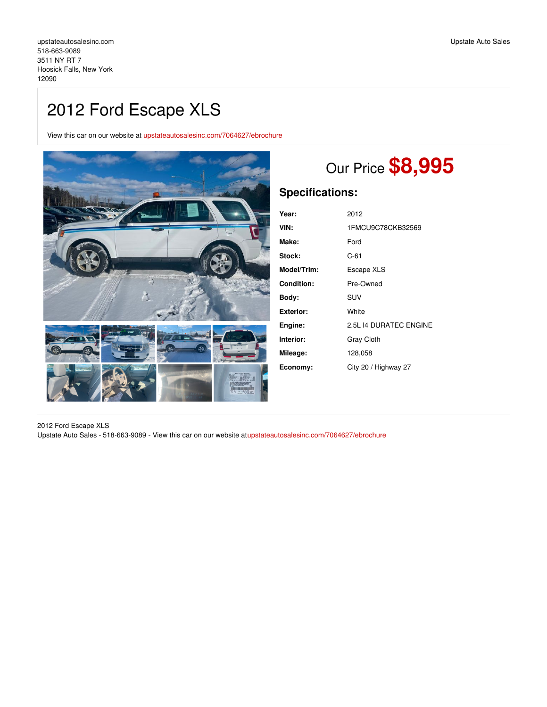# 2012 Ford Escape XLS

View this car on our website at [upstateautosalesinc.com/7064627/ebrochure](https://upstateautosalesinc.com/vehicle/7064627/2012-ford-escape-xls-hoosick-falls-new-york-12090/7064627/ebrochure)



# Our Price **\$8,995**

## **Specifications:**

| Year:       | 2012                   |
|-------------|------------------------|
| VIN:        | 1FMCU9C78CKB32569      |
| Make:       | Ford                   |
| Stock:      | $C-61$                 |
| Model/Trim: | Escape XLS             |
| Condition:  | Pre-Owned              |
| Body:       | <b>SUV</b>             |
| Exterior:   | White                  |
| Engine:     | 2.5L 14 DURATEC ENGINE |
| Interior:   | <b>Gray Cloth</b>      |
| Mileage:    | 128,058                |
| Economy:    | City 20 / Highway 27   |

2012 Ford Escape XLS Upstate Auto Sales - 518-663-9089 - View this car on our website a[tupstateautosalesinc.com/7064627/ebrochure](https://upstateautosalesinc.com/vehicle/7064627/2012-ford-escape-xls-hoosick-falls-new-york-12090/7064627/ebrochure)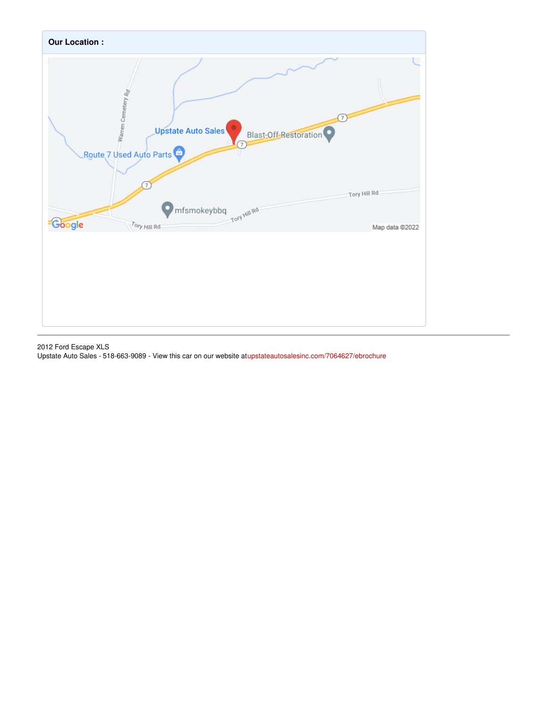

2012 Ford Escape XLS Upstate Auto Sales - 518-663-9089 - View this car on our website a[tupstateautosalesinc.com/7064627/ebrochure](https://upstateautosalesinc.com/vehicle/7064627/2012-ford-escape-xls-hoosick-falls-new-york-12090/7064627/ebrochure)